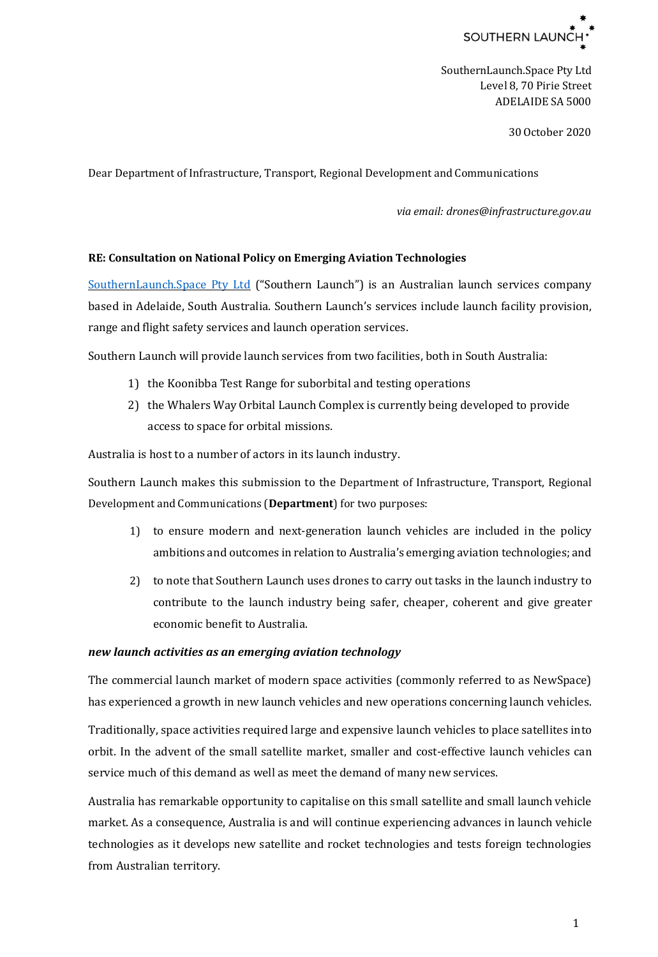

SouthernLaunch.Space Pty Ltd Level 8, 70 Pirie Street ADELAIDE SA 5000

30 October 2020

Dear Department of Infrastructure, Transport, Regional Development and Communications

*via email: drones@infrastructure.gov.au*

## **RE: Consultation on National Policy on Emerging Aviation Technologies**

[SouthernLaunch.Space Pty Ltd](https://southernlaunch.space/) ("Southern Launch") is an Australian launch services company based in Adelaide, South Australia. Southern Launch's services include launch facility provision, range and flight safety services and launch operation services.

Southern Launch will provide launch services from two facilities, both in South Australia:

- 1) the Koonibba Test Range for suborbital and testing operations
- 2) the Whalers Way Orbital Launch Complex is currently being developed to provide access to space for orbital missions.

Australia is host to a number of actors in its launch industry.

Southern Launch makes this submission to the Department of Infrastructure, Transport, Regional Development and Communications (**Department**) for two purposes:

- 1) to ensure modern and next-generation launch vehicles are included in the policy ambitions and outcomes in relation to Australia's emerging aviation technologies; and
- 2) to note that Southern Launch uses drones to carry out tasks in the launch industry to contribute to the launch industry being safer, cheaper, coherent and give greater economic benefit to Australia.

## *new launch activities as an emerging aviation technology*

The commercial launch market of modern space activities (commonly referred to as NewSpace) has experienced a growth in new launch vehicles and new operations concerning launch vehicles.

Traditionally, space activities required large and expensive launch vehicles to place satellites into orbit. In the advent of the small satellite market, smaller and cost-effective launch vehicles can service much of this demand as well as meet the demand of many new services.

Australia has remarkable opportunity to capitalise on this small satellite and small launch vehicle market. As a consequence, Australia is and will continue experiencing advances in launch vehicle technologies as it develops new satellite and rocket technologies and tests foreign technologies from Australian territory.